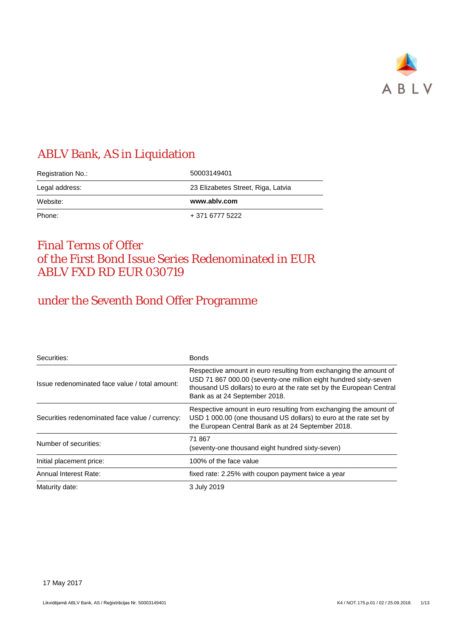

# ABLV Bank, AS in Liquidation

| Registration No.: | 50003149401                        |  |
|-------------------|------------------------------------|--|
| Legal address:    | 23 Elizabetes Street, Riga, Latvia |  |
|                   |                                    |  |
| Website:          | www.ablv.com                       |  |

# Final Terms of Offer of the First Bond Issue Series Redenominated in EUR ABLV FXD RD EUR 030719

# under the Seventh Bond Offer Programme

| Securities:                                     | <b>Bonds</b>                                                                                                                                                                                                                                   |
|-------------------------------------------------|------------------------------------------------------------------------------------------------------------------------------------------------------------------------------------------------------------------------------------------------|
| Issue redenominated face value / total amount:  | Respective amount in euro resulting from exchanging the amount of<br>USD 71 867 000.00 (seventy-one million eight hundred sixty-seven<br>thousand US dollars) to euro at the rate set by the European Central<br>Bank as at 24 September 2018. |
| Securities redenominated face value / currency: | Respective amount in euro resulting from exchanging the amount of<br>USD 1 000.00 (one thousand US dollars) to euro at the rate set by<br>the European Central Bank as at 24 September 2018.                                                   |
| Number of securities:                           | 71 867<br>(seventy-one thousand eight hundred sixty-seven)                                                                                                                                                                                     |
| Initial placement price:                        | 100% of the face value                                                                                                                                                                                                                         |
| Annual Interest Rate:                           | fixed rate: 2.25% with coupon payment twice a year                                                                                                                                                                                             |
| Maturity date:                                  | 3 July 2019                                                                                                                                                                                                                                    |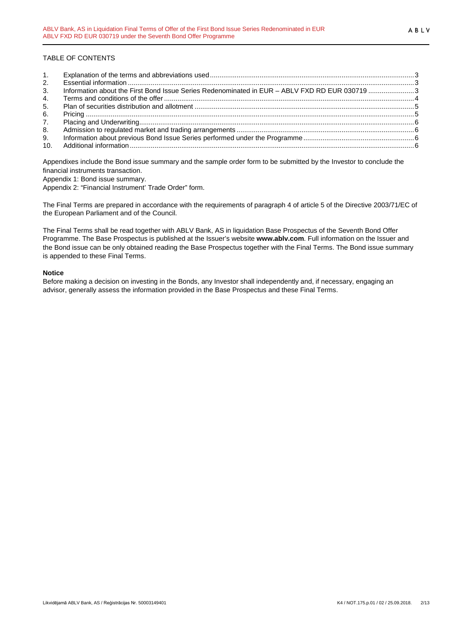# TABLE OF CONTENTS

| 1.  |                                                                                               |  |
|-----|-----------------------------------------------------------------------------------------------|--|
| 2.  |                                                                                               |  |
| 3.  | Information about the First Bond Issue Series Redenominated in EUR - ABLV FXD RD EUR 030719 3 |  |
| 4.  |                                                                                               |  |
| 5.  |                                                                                               |  |
| 6.  |                                                                                               |  |
| 7.  |                                                                                               |  |
| 8.  |                                                                                               |  |
| 9.  |                                                                                               |  |
| 10. |                                                                                               |  |

Appendixes include the Bond issue summary and the sample order form to be submitted by the Investor to conclude the financial instruments transaction.

Appendix 1: Bond issue summary.

Appendix 2: "Financial Instrument' Trade Order" form.

The Final Terms are prepared in accordance with the requirements of paragraph 4 of article 5 of the Directive 2003/71/EC of the European Parliament and of the Council.

The Final Terms shall be read together with ABLV Bank, AS in liquidation Base Prospectus of the Seventh Bond Offer Programme. The Base Prospectus is published at the Issuer's website **www.ablv.com**. Full information on the Issuer and the Bond issue can be only obtained reading the Base Prospectus together with the Final Terms. The Bond issue summary is appended to these Final Terms.

# **Notice**

Before making a decision on investing in the Bonds, any Investor shall independently and, if necessary, engaging an advisor, generally assess the information provided in the Base Prospectus and these Final Terms.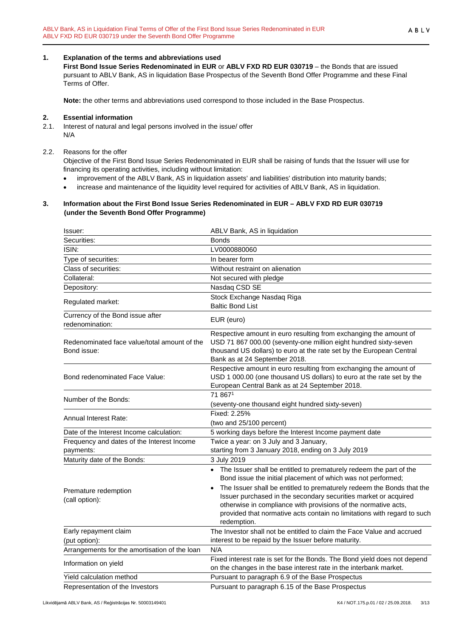# <span id="page-2-0"></span>**1. Explanation of the terms and abbreviations used**

**First Bond Issue Series Redenominated in EUR** or **ABLV FXD RD EUR 030719** – the Bonds that are issued pursuant to ABLV Bank, AS in liquidation Base Prospectus of the Seventh Bond Offer Programme and these Final Terms of Offer.

**Note:** the other terms and abbreviations used correspond to those included in the Base Prospectus.

# <span id="page-2-1"></span>**2. Essential information**

2.1. Interest of natural and legal persons involved in the issue/ offer N/A

# 2.2. Reasons for the offer

Objective of the First Bond Issue Series Redenominated in EUR shall be raising of funds that the Issuer will use for financing its operating activities, including without limitation:

- improvement of the ABLV Bank, AS in liquidation assets' and liabilities' distribution into maturity bands;
- increase and maintenance of the liquidity level required for activities of ABLV Bank, AS in liquidation.

#### <span id="page-2-2"></span>**3. Information about the First Bond Issue Series Redenominated in EUR – ABLV FXD RD EUR 030719 (under the Seventh Bond Offer Programme)**

| Issuer:                                                     | ABLV Bank, AS in liquidation                                                                                                                                                                                                                                                                                      |
|-------------------------------------------------------------|-------------------------------------------------------------------------------------------------------------------------------------------------------------------------------------------------------------------------------------------------------------------------------------------------------------------|
| Securities:                                                 | <b>Bonds</b>                                                                                                                                                                                                                                                                                                      |
| ISIN:                                                       | LV0000880060                                                                                                                                                                                                                                                                                                      |
| Type of securities:                                         | In bearer form                                                                                                                                                                                                                                                                                                    |
| Class of securities:                                        | Without restraint on alienation                                                                                                                                                                                                                                                                                   |
| Collateral:                                                 | Not secured with pledge                                                                                                                                                                                                                                                                                           |
| Depository:                                                 | Nasdaq CSD SE                                                                                                                                                                                                                                                                                                     |
| Regulated market:                                           | Stock Exchange Nasdaq Riga<br><b>Baltic Bond List</b>                                                                                                                                                                                                                                                             |
| Currency of the Bond issue after<br>redenomination:         | EUR (euro)                                                                                                                                                                                                                                                                                                        |
| Redenominated face value/total amount of the<br>Bond issue: | Respective amount in euro resulting from exchanging the amount of<br>USD 71 867 000.00 (seventy-one million eight hundred sixty-seven<br>thousand US dollars) to euro at the rate set by the European Central<br>Bank as at 24 September 2018.                                                                    |
| Bond redenominated Face Value:                              | Respective amount in euro resulting from exchanging the amount of<br>USD 1 000.00 (one thousand US dollars) to euro at the rate set by the<br>European Central Bank as at 24 September 2018.                                                                                                                      |
| Number of the Bonds:                                        | 71 8671<br>(seventy-one thousand eight hundred sixty-seven)                                                                                                                                                                                                                                                       |
| Annual Interest Rate:                                       | Fixed: 2.25%<br>(two and 25/100 percent)                                                                                                                                                                                                                                                                          |
| Date of the Interest Income calculation:                    | 5 working days before the Interest Income payment date                                                                                                                                                                                                                                                            |
| Frequency and dates of the Interest Income<br>payments:     | Twice a year: on 3 July and 3 January,<br>starting from 3 January 2018, ending on 3 July 2019                                                                                                                                                                                                                     |
| Maturity date of the Bonds:                                 | 3 July 2019                                                                                                                                                                                                                                                                                                       |
|                                                             | • The Issuer shall be entitled to prematurely redeem the part of the<br>Bond issue the initial placement of which was not performed;                                                                                                                                                                              |
| Premature redemption<br>(call option):                      | The Issuer shall be entitled to prematurely redeem the Bonds that the<br>$\bullet$<br>Issuer purchased in the secondary securities market or acquired<br>otherwise in compliance with provisions of the normative acts,<br>provided that normative acts contain no limitations with regard to such<br>redemption. |
| Early repayment claim                                       | The Investor shall not be entitled to claim the Face Value and accrued                                                                                                                                                                                                                                            |
| (put option):                                               | interest to be repaid by the Issuer before maturity.                                                                                                                                                                                                                                                              |
| Arrangements for the amortisation of the loan               | N/A                                                                                                                                                                                                                                                                                                               |
| Information on yield                                        | Fixed interest rate is set for the Bonds. The Bond yield does not depend<br>on the changes in the base interest rate in the interbank market.                                                                                                                                                                     |
| Yield calculation method                                    | Pursuant to paragraph 6.9 of the Base Prospectus                                                                                                                                                                                                                                                                  |
| Representation of the Investors                             | Pursuant to paragraph 6.15 of the Base Prospectus                                                                                                                                                                                                                                                                 |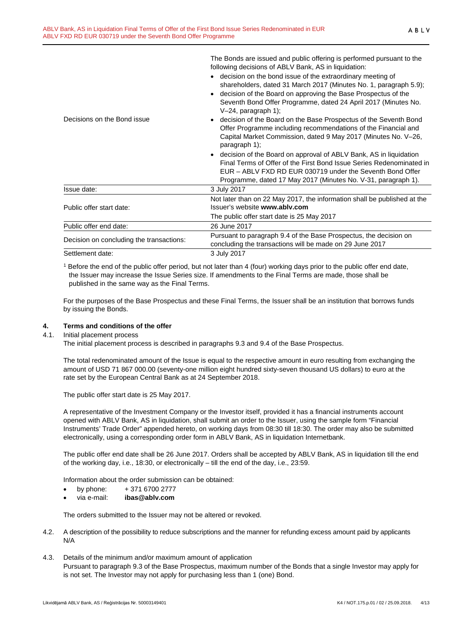| Decisions on the Bond issue              | following decisions of ABLV Bank, AS in liquidation:<br>decision on the bond issue of the extraordinary meeting of<br>shareholders, dated 31 March 2017 (Minutes No. 1, paragraph 5.9);<br>decision of the Board on approving the Base Prospectus of the<br>Seventh Bond Offer Programme, dated 24 April 2017 (Minutes No.<br>$V-24$ , paragraph 1);<br>decision of the Board on the Base Prospectus of the Seventh Bond<br>Offer Programme including recommendations of the Financial and<br>Capital Market Commission, dated 9 May 2017 (Minutes No. V-26, |  |  |
|------------------------------------------|--------------------------------------------------------------------------------------------------------------------------------------------------------------------------------------------------------------------------------------------------------------------------------------------------------------------------------------------------------------------------------------------------------------------------------------------------------------------------------------------------------------------------------------------------------------|--|--|
|                                          | paragraph 1);<br>decision of the Board on approval of ABLV Bank, AS in liquidation<br>Final Terms of Offer of the First Bond Issue Series Redenominated in<br>EUR - ABLV FXD RD EUR 030719 under the Seventh Bond Offer<br>Programme, dated 17 May 2017 (Minutes No. V-31, paragraph 1).                                                                                                                                                                                                                                                                     |  |  |
| Issue date:                              | 3 July 2017                                                                                                                                                                                                                                                                                                                                                                                                                                                                                                                                                  |  |  |
| Public offer start date:                 | Not later than on 22 May 2017, the information shall be published at the<br>Issuer's website www.ablv.com<br>The public offer start date is 25 May 2017                                                                                                                                                                                                                                                                                                                                                                                                      |  |  |
| Public offer end date:                   | 26 June 2017                                                                                                                                                                                                                                                                                                                                                                                                                                                                                                                                                 |  |  |
| Decision on concluding the transactions: | Pursuant to paragraph 9.4 of the Base Prospectus, the decision on<br>concluding the transactions will be made on 29 June 2017                                                                                                                                                                                                                                                                                                                                                                                                                                |  |  |
| Settlement date:                         | 3 July 2017                                                                                                                                                                                                                                                                                                                                                                                                                                                                                                                                                  |  |  |

The Bonds are issued and public offering is performed pursuant to the

<sup>1</sup> Before the end of the public offer period, but not later than 4 (four) working days prior to the public offer end date, the Issuer may increase the Issue Series size. If amendments to the Final Terms are made, those shall be published in the same way as the Final Terms.

For the purposes of the Base Prospectus and these Final Terms, the Issuer shall be an institution that borrows funds by issuing the Bonds.

# <span id="page-3-0"></span>**4. Terms and conditions of the offer**

4.1. Initial placement process

The initial placement process is described in paragraphs 9.3 and 9.4 of the Base Prospectus.

The total redenominated amount of the Issue is equal to the respective amount in euro resulting from exchanging the amount of USD 71 867 000.00 (seventy-one million eight hundred sixty-seven thousand US dollars) to euro at the rate set by the European Central Bank as at 24 September 2018.

The public offer start date is 25 May 2017.

A representative of the Investment Company or the Investor itself, provided it has a financial instruments account opened with ABLV Bank, AS in liquidation, shall submit an order to the Issuer, using the sample form "Financial Instruments' Trade Order" appended hereto, on working days from 08:30 till 18:30. The order may also be submitted electronically, using a corresponding order form in ABLV Bank, AS in liquidation Internetbank.

The public offer end date shall be 26 June 2017. Orders shall be accepted by ABLV Bank, AS in liquidation till the end of the working day, i.e., 18:30, or electronically – till the end of the day, i.e., 23:59.

Information about the order submission can be obtained:

- by phone:  $+371\,6700\,2777$
- via e-mail: **ibas@ablv.com**

The orders submitted to the Issuer may not be altered or revoked.

- 4.2. A description of the possibility to reduce subscriptions and the manner for refunding excess amount paid by applicants N/A
- 4.3. Details of the minimum and/or maximum amount of application Pursuant to paragraph 9.3 of the Base Prospectus, maximum number of the Bonds that a single Investor may apply for is not set. The Investor may not apply for purchasing less than 1 (one) Bond.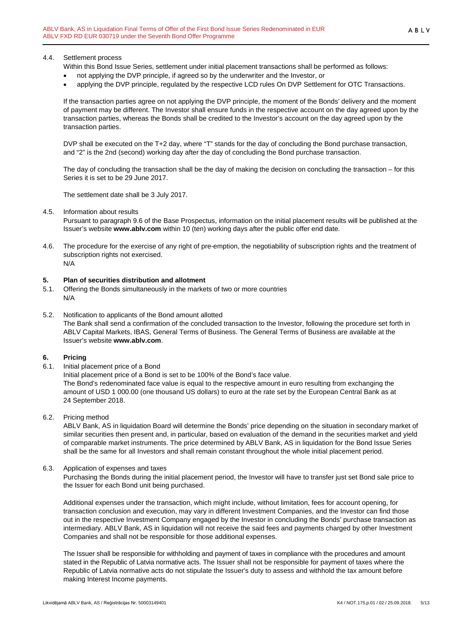# 4.4. Settlement process

Within this Bond Issue Series, settlement under initial placement transactions shall be performed as follows:

- not applying the DVP principle, if agreed so by the underwriter and the Investor, or
- applying the DVP principle, regulated by the respective LCD rules On DVP Settlement for OTC Transactions.

If the transaction parties agree on not applying the DVP principle, the moment of the Bonds' delivery and the moment of payment may be different. The Investor shall ensure funds in the respective account on the day agreed upon by the transaction parties, whereas the Bonds shall be credited to the Investor's account on the day agreed upon by the transaction parties.

DVP shall be executed on the T+2 day, where "T" stands for the day of concluding the Bond purchase transaction, and "2" is the 2nd (second) working day after the day of concluding the Bond purchase transaction.

The day of concluding the transaction shall be the day of making the decision on concluding the transaction – for this Series it is set to be 29 June 2017.

The settlement date shall be 3 July 2017.

#### 4.5. Information about results

Pursuant to paragraph 9.6 of the Base Prospectus, information on the initial placement results will be published at the Issuer's website **www.ablv.com** within 10 (ten) working days after the public offer end date.

4.6. The procedure for the exercise of any right of pre-emption, the negotiability of subscription rights and the treatment of subscription rights not exercised. N/A

#### <span id="page-4-0"></span>**5. Plan of securities distribution and allotment**

- 5.1. Offering the Bonds simultaneously in the markets of two or more countries N/A
- 5.2. Notification to applicants of the Bond amount allotted The Bank shall send a confirmation of the concluded transaction to the Investor, following the procedure set forth in ABLV Capital Markets, IBAS, General Terms of Business. The General Terms of Business are available at the Issuer's website **[www.ablv.com](http://www.ablv.com/)**.

#### <span id="page-4-1"></span>**6. Pricing**

6.1. Initial placement price of a Bond

Initial placement price of a Bond is set to be 100% of the Bond's face value. The Bond's redenominated face value is equal to the respective amount in euro resulting from exchanging the amount of USD 1 000.00 (one thousand US dollars) to euro at the rate set by the European Central Bank as at 24 September 2018.

6.2. Pricing method

ABLV Bank, AS in liquidation Board will determine the Bonds' price depending on the situation in secondary market of similar securities then present and, in particular, based on evaluation of the demand in the securities market and yield of comparable market instruments. The price determined by ABLV Bank, AS in liquidation for the Bond Issue Series shall be the same for all Investors and shall remain constant throughout the whole initial placement period.

6.3. Application of expenses and taxes

Purchasing the Bonds during the initial placement period, the Investor will have to transfer just set Bond sale price to the Issuer for each Bond unit being purchased.

Additional expenses under the transaction, which might include, without limitation, fees for account opening, for transaction conclusion and execution, may vary in different Investment Companies, and the Investor can find those out in the respective Investment Company engaged by the Investor in concluding the Bonds' purchase transaction as intermediary. ABLV Bank, AS in liquidation will not receive the said fees and payments charged by other Investment Companies and shall not be responsible for those additional expenses.

The Issuer shall be responsible for withholding and payment of taxes in compliance with the procedures and amount stated in the Republic of Latvia normative acts. The Issuer shall not be responsible for payment of taxes where the Republic of Latvia normative acts do not stipulate the Issuer's duty to assess and withhold the tax amount before making Interest Income payments.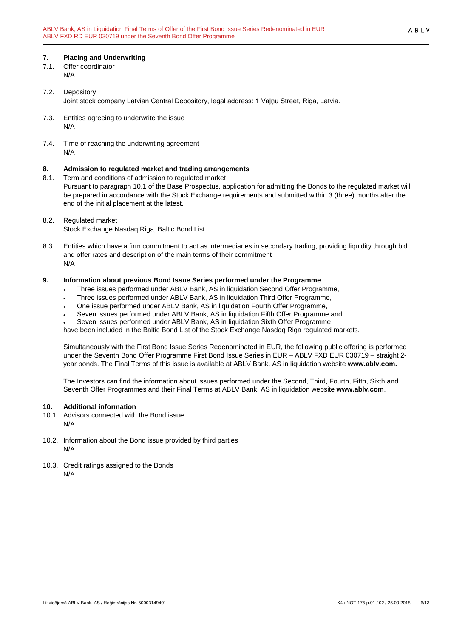# <span id="page-5-0"></span>**7. Placing and Underwriting**

- 7.1. Offer coordinator N/A
- 7.2. Depository Joint stock company Latvian Central Depository, legal address: 1 Vaļņu Street, Riga, Latvia.
- 7.3. Entities agreeing to underwrite the issue N/A
- 7.4. Time of reaching the underwriting agreement N/A

# <span id="page-5-1"></span>**8. Admission to regulated market and trading arrangements**

- Term and conditions of admission to regulated market Pursuant to paragraph 10.1 of the Base Prospectus, application for admitting the Bonds to the regulated market will be prepared in accordance with the Stock Exchange requirements and submitted within 3 (three) months after the end of the initial placement at the latest.
- 8.2. Regulated market Stock Exchange Nasdaq Riga, Baltic Bond List.
- 8.3. Entities which have a firm commitment to act as intermediaries in secondary trading, providing liquidity through bid and offer rates and description of the main terms of their commitment N/A

#### <span id="page-5-2"></span>**9. Information about previous Bond Issue Series performed under the Programme**

- Three issues performed under ABLV Bank, AS in liquidation Second Offer Programme,
- Three issues performed under ABLV Bank, AS in liquidation Third Offer Programme,
- One issue performed under ABLV Bank, AS in liquidation Fourth Offer Programme,
- Seven issues performed under ABLV Bank, AS in liquidation Fifth Offer Programme and
- Seven issues performed under ABLV Bank, AS in liquidation Sixth Offer Programme

have been included in the Baltic Bond List of the Stock Exchange Nasdaq Riga regulated markets.

Simultaneously with the First Bond Issue Series Redenominated in EUR, the following public offering is performed under the Seventh Bond Offer Programme First Bond Issue Series in EUR – ABLV FXD EUR 030719 – straight 2 year bonds. The Final Terms of this issue is available at ABLV Bank, AS in liquidation website **www.ablv.com.**

The Investors can find the information about issues performed under the Second, Third, Fourth, Fifth, Sixth and Seventh Offer Programmes and their Final Terms at ABLV Bank, AS in liquidation website **[www.ablv.com](http://www.ablv.com/)**.

#### <span id="page-5-3"></span>**10. Additional information**

- 10.1. Advisors connected with the Bond issue N/A
- 10.2. Information about the Bond issue provided by third parties N/A
- 10.3. Credit ratings assigned to the Bonds N/A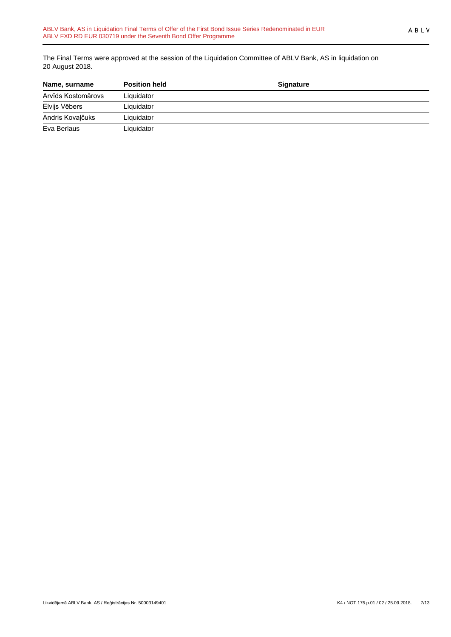The Final Terms were approved at the session of the Liquidation Committee of ABLV Bank, AS in liquidation on 20 August 2018.

| Name, surname      | <b>Position held</b> | <b>Signature</b> |  |
|--------------------|----------------------|------------------|--|
| Arvīds Kostomārovs | Liquidator           |                  |  |
| Elvijs Vēbers      | Liquidator           |                  |  |
| Andris Kovaļčuks   | Liquidator           |                  |  |
| Eva Berlaus        | Liquidator           |                  |  |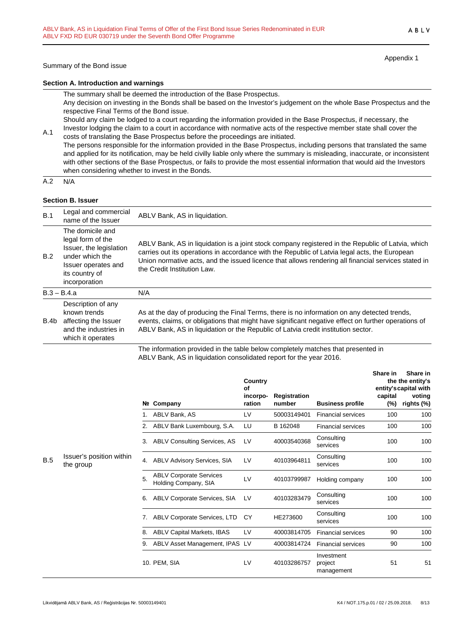Appendix 1

ABLV

#### **Section A. Introduction and warnings**

The summary shall be deemed the introduction of the Base Prospectus.

Any decision on investing in the Bonds shall be based on the Investor's judgement on the whole Base Prospectus and the respective Final Terms of the Bond issue.

Should any claim be lodged to a court regarding the information provided in the Base Prospectus, if necessary, the Investor lodging the claim to a court in accordance with normative acts of the respective member state shall cover the

A.1 costs of translating the Base Prospectus before the proceedings are initiated. The persons responsible for the information provided in the Base Prospectus, including persons that translated the same and applied for its notification, may be held civilly liable only where the summary is misleading, inaccurate, or inconsistent with other sections of the Base Prospectus, or fails to provide the most essential information that would aid the Investors when considering whether to invest in the Bonds.

 $A.2 N/A$ 

# **Section B. Issuer**

| B.1  | Legal and commercial<br>name of the Issuer                                                                                                    | ABLV Bank, AS in liquidation.                                                                                                                                                                                                                                                                                                            |
|------|-----------------------------------------------------------------------------------------------------------------------------------------------|------------------------------------------------------------------------------------------------------------------------------------------------------------------------------------------------------------------------------------------------------------------------------------------------------------------------------------------|
| B.2  | The domicile and<br>legal form of the<br>Issuer, the legislation<br>under which the<br>Issuer operates and<br>its country of<br>incorporation | ABLV Bank, AS in liquidation is a joint stock company registered in the Republic of Latvia, which<br>carries out its operations in accordance with the Republic of Latvia legal acts, the European<br>Union normative acts, and the issued licence that allows rendering all financial services stated in<br>the Credit Institution Law. |
|      | $B.3 - B.4.a$                                                                                                                                 | N/A                                                                                                                                                                                                                                                                                                                                      |
| B.4b | Description of any<br>known trends<br>affecting the Issuer<br>and the industries in<br>which it operates                                      | As at the day of producing the Final Terms, there is no information on any detected trends,<br>events, claims, or obligations that might have significant negative effect on further operations of<br>ABLV Bank, AS in liquidation or the Republic of Latvia credit institution sector.                                                  |
|      |                                                                                                                                               | The information provided in the table below completely matches that presented in                                                                                                                                                                                                                                                         |

The information provided in the table below completely matches that presented in ABLV Bank, AS in liquidation consolidated report for the year 2016.

|     |                                       |    | Nº Company                                             | Country<br>Οf<br>incorpo-<br>ration | Registration<br>number | <b>Business profile</b>             | Share in<br>capital<br>(%) | Share in<br>the the entity's<br>entity's capital with<br>voting<br>rights (%) |
|-----|---------------------------------------|----|--------------------------------------------------------|-------------------------------------|------------------------|-------------------------------------|----------------------------|-------------------------------------------------------------------------------|
|     |                                       |    | ABLV Bank, AS                                          | LV                                  | 50003149401            | <b>Financial services</b>           | 100                        | 100                                                                           |
|     |                                       | 2. | ABLV Bank Luxembourg, S.A.                             | LU                                  | B 162048               | <b>Financial services</b>           | 100                        | 100                                                                           |
|     |                                       | 3. | <b>ABLV Consulting Services, AS</b>                    | LV                                  | 40003540368            | Consulting<br>services              | 100                        | 100                                                                           |
| B.5 | Issuer's position within<br>the group | 4. | <b>ABLV Advisory Services, SIA</b>                     | LV                                  | 40103964811            | Consulting<br>services              | 100                        | 100                                                                           |
|     |                                       | 5. | <b>ABLV Corporate Services</b><br>Holding Company, SIA | LV                                  | 40103799987            | Holding company                     | 100                        | 100                                                                           |
|     |                                       | 6. | ABLV Corporate Services, SIA                           | LV                                  | 40103283479            | Consulting<br>services              | 100                        | 100                                                                           |
|     |                                       | 7. | <b>ABLV Corporate Services, LTD</b>                    | CY                                  | HE273600               | Consulting<br>services              | 100                        | 100                                                                           |
|     |                                       | 8. | <b>ABLV Capital Markets, IBAS</b>                      | LV                                  | 40003814705            | <b>Financial services</b>           | 90                         | 100                                                                           |
|     |                                       | 9. | ABLV Asset Management, IPAS                            | LV                                  | 40003814724            | <b>Financial services</b>           | 90                         | 100                                                                           |
|     |                                       |    | 10. PEM, SIA                                           | LV                                  | 40103286757            | Investment<br>project<br>management | 51                         | 51                                                                            |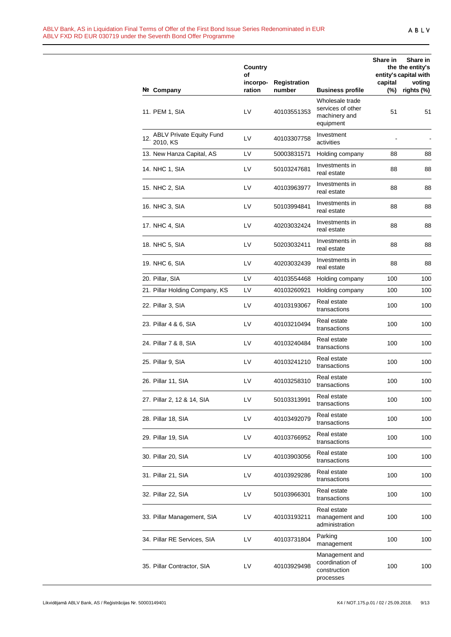|     |                                             | Country<br>οf      |                               |                                                                    | Share in       | Share in<br>the the entity's<br>entity's capital with |
|-----|---------------------------------------------|--------------------|-------------------------------|--------------------------------------------------------------------|----------------|-------------------------------------------------------|
|     | Nº Company                                  | incorpo-<br>ration | <b>Registration</b><br>number | <b>Business profile</b>                                            | capital<br>(%) | voting<br>rights (%)                                  |
|     | 11. PEM 1, SIA                              | LV                 | 40103551353                   | Wholesale trade<br>services of other<br>machinery and<br>equipment | 51             | 51                                                    |
| 12. | <b>ABLV Private Equity Fund</b><br>2010, KS | LV                 | 40103307758                   | Investment<br>activities                                           |                |                                                       |
|     | 13. New Hanza Capital, AS                   | LV                 | 50003831571                   | Holding company                                                    | 88             | 88                                                    |
|     | 14. NHC 1, SIA                              | LV                 | 50103247681                   | Investments in<br>real estate                                      | 88             | 88                                                    |
|     | 15. NHC 2, SIA                              | LV                 | 40103963977                   | Investments in<br>real estate                                      | 88             | 88                                                    |
|     | 16. NHC 3, SIA                              | LV                 | 50103994841                   | Investments in<br>real estate                                      | 88             | 88                                                    |
|     | 17. NHC 4, SIA                              | LV                 | 40203032424                   | Investments in<br>real estate                                      | 88             | 88                                                    |
|     | 18. NHC 5, SIA                              | LV                 | 50203032411                   | Investments in<br>real estate                                      | 88             | 88                                                    |
|     | 19. NHC 6, SIA                              | LV                 | 40203032439                   | Investments in<br>real estate                                      | 88             | 88                                                    |
|     | 20. Pillar, SIA                             | LV                 | 40103554468                   | Holding company                                                    | 100            | 100                                                   |
|     | 21. Pillar Holding Company, KS              | LV                 | 40103260921                   | Holding company                                                    | 100            | 100                                                   |
|     | 22. Pillar 3, SIA                           | LV                 | 40103193067                   | Real estate<br>transactions                                        | 100            | 100                                                   |
|     | 23. Pillar 4 & 6, SIA                       | LV                 | 40103210494                   | Real estate<br>transactions                                        | 100            | 100                                                   |
|     | 24. Pillar 7 & 8, SIA                       | LV                 | 40103240484                   | Real estate<br>transactions                                        | 100            | 100                                                   |
|     | 25. Pillar 9, SIA                           | LV                 | 40103241210                   | Real estate<br>transactions                                        | 100            | 100                                                   |
|     | 26. Pillar 11, SIA                          | LV                 | 40103258310                   | Real estate<br>transactions                                        | 100            | 100                                                   |
|     | 27. Pillar 2, 12 & 14, SIA                  | LV                 | 50103313991                   | Real estate<br>transactions                                        | 100            | 100                                                   |
|     | 28. Pillar 18, SIA                          | LV                 | 40103492079                   | Real estate<br>transactions                                        | 100            | 100                                                   |
|     | 29. Pillar 19, SIA                          | LV                 | 40103766952                   | Real estate<br>transactions                                        | 100            | 100                                                   |
|     | 30. Pillar 20, SIA                          | LV                 | 40103903056                   | Real estate<br>transactions                                        | 100            | 100                                                   |
|     | 31. Pillar 21, SIA                          | LV                 | 40103929286                   | Real estate<br>transactions                                        | 100            | 100                                                   |
|     | 32. Pillar 22, SIA                          | LV                 | 50103966301                   | Real estate<br>transactions                                        | 100            | 100                                                   |
|     | 33. Pillar Management, SIA                  | LV                 | 40103193211                   | Real estate<br>management and<br>administration                    | 100            | 100                                                   |
|     | 34. Pillar RE Services, SIA                 | LV                 | 40103731804                   | Parking<br>management                                              | 100            | 100                                                   |
|     | 35. Pillar Contractor, SIA                  | LV                 | 40103929498                   | Management and<br>coordination of<br>construction<br>processes     | 100            | 100                                                   |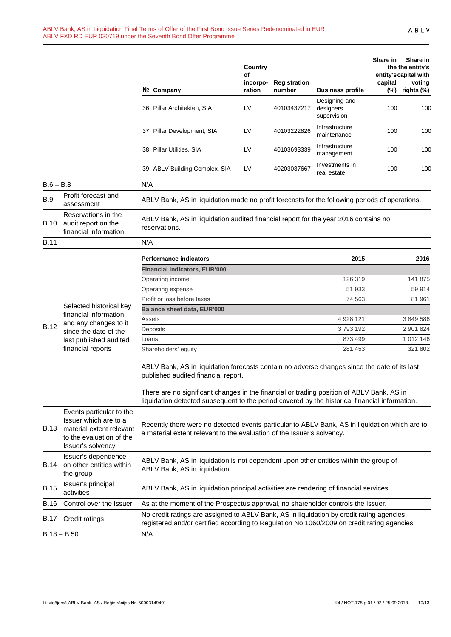|             |                                                                                                                                | Nº Company                                                                                                                                                                                                                                                                                                                         | Country<br>of<br>incorpo-<br>ration | Registration<br>number | <b>Business profile</b>                   | Share in<br>capital<br>(%) | Share in<br>the the entity's<br>entity's capital with<br>voting<br>rights (%) |
|-------------|--------------------------------------------------------------------------------------------------------------------------------|------------------------------------------------------------------------------------------------------------------------------------------------------------------------------------------------------------------------------------------------------------------------------------------------------------------------------------|-------------------------------------|------------------------|-------------------------------------------|----------------------------|-------------------------------------------------------------------------------|
|             |                                                                                                                                | 36. Pillar Architekten, SIA                                                                                                                                                                                                                                                                                                        | LV                                  | 40103437217            | Designing and<br>designers<br>supervision | 100                        | 100                                                                           |
|             |                                                                                                                                | 37. Pillar Development, SIA                                                                                                                                                                                                                                                                                                        | LV                                  | 40103222826            | Infrastructure<br>maintenance             | 100                        | 100                                                                           |
|             |                                                                                                                                | 38. Pillar Utilities, SIA                                                                                                                                                                                                                                                                                                          | LV                                  | 40103693339            | Infrastructure<br>management              | 100                        | 100                                                                           |
|             |                                                                                                                                | 39. ABLV Building Complex, SIA                                                                                                                                                                                                                                                                                                     | LV                                  | 40203037667            | Investments in<br>real estate             | 100                        | 100                                                                           |
| $B.6 - B.8$ |                                                                                                                                | N/A                                                                                                                                                                                                                                                                                                                                |                                     |                        |                                           |                            |                                                                               |
| <b>B.9</b>  | Profit forecast and<br>assessment                                                                                              | ABLV Bank, AS in liquidation made no profit forecasts for the following periods of operations.                                                                                                                                                                                                                                     |                                     |                        |                                           |                            |                                                                               |
| B.10        | Reservations in the<br>audit report on the<br>financial information                                                            | ABLV Bank, AS in liquidation audited financial report for the year 2016 contains no<br>reservations.                                                                                                                                                                                                                               |                                     |                        |                                           |                            |                                                                               |
| <b>B.11</b> |                                                                                                                                | N/A                                                                                                                                                                                                                                                                                                                                |                                     |                        |                                           |                            |                                                                               |
|             |                                                                                                                                | <b>Performance indicators</b>                                                                                                                                                                                                                                                                                                      |                                     |                        | 2015                                      |                            | 2016                                                                          |
|             |                                                                                                                                | <b>Financial indicators, EUR'000</b>                                                                                                                                                                                                                                                                                               |                                     |                        |                                           |                            |                                                                               |
|             |                                                                                                                                | Operating income                                                                                                                                                                                                                                                                                                                   |                                     |                        | 126 319                                   |                            | 141 875                                                                       |
|             |                                                                                                                                | Operating expense                                                                                                                                                                                                                                                                                                                  |                                     |                        | 51 933                                    |                            | 59 914                                                                        |
|             |                                                                                                                                | Profit or loss before taxes                                                                                                                                                                                                                                                                                                        |                                     |                        | 74 563                                    |                            | 81 961                                                                        |
|             | Selected historical key                                                                                                        | Balance sheet data, EUR'000                                                                                                                                                                                                                                                                                                        |                                     |                        |                                           |                            |                                                                               |
|             | financial information                                                                                                          | Assets                                                                                                                                                                                                                                                                                                                             |                                     |                        | 4 928 121                                 |                            | 3 849 586                                                                     |
| <b>B.12</b> | and any changes to it<br>since the date of the                                                                                 | Deposits                                                                                                                                                                                                                                                                                                                           |                                     |                        | 3793192                                   |                            | 2 901 824                                                                     |
|             | last published audited                                                                                                         | Loans                                                                                                                                                                                                                                                                                                                              |                                     |                        | 873 499                                   |                            | 1 012 146                                                                     |
|             | financial reports                                                                                                              | Shareholders' equity                                                                                                                                                                                                                                                                                                               |                                     |                        | 281 453                                   |                            | 321 802                                                                       |
|             |                                                                                                                                | ABLV Bank, AS in liquidation forecasts contain no adverse changes since the date of its last<br>published audited financial report.<br>There are no significant changes in the financial or trading position of ABLV Bank, AS in<br>liquidation detected subsequent to the period covered by the historical financial information. |                                     |                        |                                           |                            |                                                                               |
|             |                                                                                                                                |                                                                                                                                                                                                                                                                                                                                    |                                     |                        |                                           |                            |                                                                               |
| B.13        | Events particular to the<br>Issuer which are to a<br>material extent relevant<br>to the evaluation of the<br>Issuer's solvency | Recently there were no detected events particular to ABLV Bank, AS in liquidation which are to<br>a material extent relevant to the evaluation of the Issuer's solvency.                                                                                                                                                           |                                     |                        |                                           |                            |                                                                               |
| B.14        | Issuer's dependence<br>on other entities within<br>the group                                                                   | ABLV Bank, AS in liquidation is not dependent upon other entities within the group of<br>ABLV Bank, AS in liquidation.                                                                                                                                                                                                             |                                     |                        |                                           |                            |                                                                               |
| <b>B.15</b> | Issuer's principal<br>activities                                                                                               | ABLV Bank, AS in liquidation principal activities are rendering of financial services.                                                                                                                                                                                                                                             |                                     |                        |                                           |                            |                                                                               |
| <b>B.16</b> | Control over the Issuer                                                                                                        | As at the moment of the Prospectus approval, no shareholder controls the Issuer.                                                                                                                                                                                                                                                   |                                     |                        |                                           |                            |                                                                               |
| B.17        | Credit ratings                                                                                                                 | No credit ratings are assigned to ABLV Bank, AS in liquidation by credit rating agencies<br>registered and/or certified according to Regulation No 1060/2009 on credit rating agencies.                                                                                                                                            |                                     |                        |                                           |                            |                                                                               |
|             | $B.18 - B.50$                                                                                                                  | N/A                                                                                                                                                                                                                                                                                                                                |                                     |                        |                                           |                            |                                                                               |
|             |                                                                                                                                |                                                                                                                                                                                                                                                                                                                                    |                                     |                        |                                           |                            |                                                                               |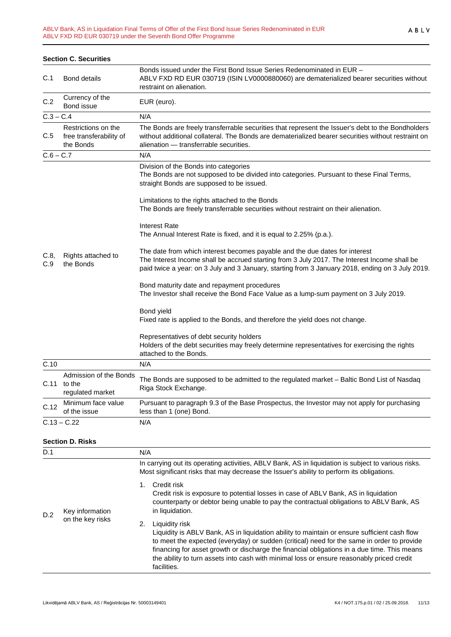|             | <b>Section C. Securities</b>                                |                                                                                                                                                                                                                                                                                 |
|-------------|-------------------------------------------------------------|---------------------------------------------------------------------------------------------------------------------------------------------------------------------------------------------------------------------------------------------------------------------------------|
| C.1         | <b>Bond details</b>                                         | Bonds issued under the First Bond Issue Series Redenominated in EUR -<br>ABLV FXD RD EUR 030719 (ISIN LV0000880060) are dematerialized bearer securities without<br>restraint on alienation.                                                                                    |
| C.2         | Currency of the<br>Bond issue                               | EUR (euro).                                                                                                                                                                                                                                                                     |
| $C.3 - C.4$ |                                                             | N/A                                                                                                                                                                                                                                                                             |
| C.5         | Restrictions on the<br>free transferability of<br>the Bonds | The Bonds are freely transferrable securities that represent the Issuer's debt to the Bondholders<br>without additional collateral. The Bonds are dematerialized bearer securities without restraint on<br>alienation - transferrable securities.                               |
| $C.6 - C.7$ |                                                             | N/A                                                                                                                                                                                                                                                                             |
|             |                                                             | Division of the Bonds into categories<br>The Bonds are not supposed to be divided into categories. Pursuant to these Final Terms,<br>straight Bonds are supposed to be issued.                                                                                                  |
|             |                                                             | Limitations to the rights attached to the Bonds<br>The Bonds are freely transferrable securities without restraint on their alienation.                                                                                                                                         |
|             |                                                             | <b>Interest Rate</b><br>The Annual Interest Rate is fixed, and it is equal to 2.25% (p.a.).                                                                                                                                                                                     |
| C.8,<br>C.9 | Rights attached to<br>the Bonds                             | The date from which interest becomes payable and the due dates for interest<br>The Interest Income shall be accrued starting from 3 July 2017. The Interest Income shall be<br>paid twice a year: on 3 July and 3 January, starting from 3 January 2018, ending on 3 July 2019. |
|             |                                                             | Bond maturity date and repayment procedures<br>The Investor shall receive the Bond Face Value as a lump-sum payment on 3 July 2019.                                                                                                                                             |
|             |                                                             | Bond yield<br>Fixed rate is applied to the Bonds, and therefore the yield does not change.                                                                                                                                                                                      |
|             |                                                             | Representatives of debt security holders<br>Holders of the debt securities may freely determine representatives for exercising the rights<br>attached to the Bonds.                                                                                                             |
| C.10        |                                                             | N/A                                                                                                                                                                                                                                                                             |
|             | Admission of the Bonds<br>$C.11$ to the<br>regulated market | The Bonds are supposed to be admitted to the regulated market - Baltic Bond List of Nasdaq<br>Riga Stock Exchange.                                                                                                                                                              |
| C.12        | Minimum face value<br>of the issue                          | Pursuant to paragraph 9.3 of the Base Prospectus, the Investor may not apply for purchasing<br>less than 1 (one) Bond.                                                                                                                                                          |
|             | $C.13 - C.22$                                               | N/A                                                                                                                                                                                                                                                                             |

# **Section D. Risks**

| D.1 |                                     | N/A                                                                                                                                                                                                                                                                                                                                                                                                                           |
|-----|-------------------------------------|-------------------------------------------------------------------------------------------------------------------------------------------------------------------------------------------------------------------------------------------------------------------------------------------------------------------------------------------------------------------------------------------------------------------------------|
| D.2 |                                     | In carrying out its operating activities, ABLV Bank, AS in liquidation is subject to various risks.<br>Most significant risks that may decrease the Issuer's ability to perform its obligations.                                                                                                                                                                                                                              |
|     | Key information<br>on the key risks | Credit risk<br>1.<br>Credit risk is exposure to potential losses in case of ABLV Bank, AS in liquidation<br>counterparty or debtor being unable to pay the contractual obligations to ABLV Bank, AS<br>in liquidation.                                                                                                                                                                                                        |
|     |                                     | Liquidity risk<br>2.<br>Liquidity is ABLV Bank, AS in liquidation ability to maintain or ensure sufficient cash flow<br>to meet the expected (everyday) or sudden (critical) need for the same in order to provide<br>financing for asset growth or discharge the financial obligations in a due time. This means<br>the ability to turn assets into cash with minimal loss or ensure reasonably priced credit<br>facilities. |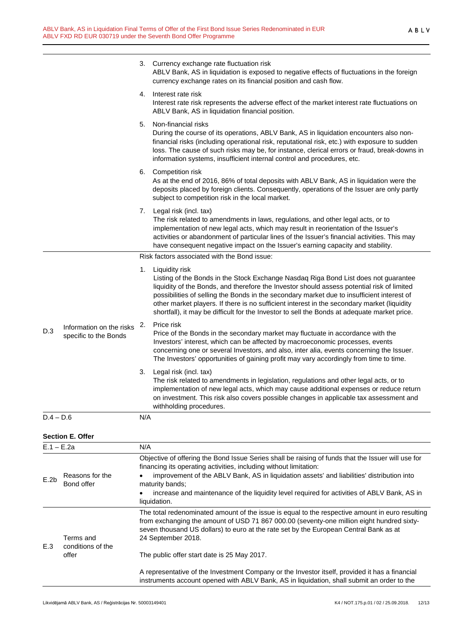|              |                                                   |                                                                                                                                                                                                                              | 3. Currency exchange rate fluctuation risk<br>ABLV Bank, AS in liquidation is exposed to negative effects of fluctuations in the foreign<br>currency exchange rates on its financial position and cash flow.                                                                                                                                                                                                                                                                                        |  |
|--------------|---------------------------------------------------|------------------------------------------------------------------------------------------------------------------------------------------------------------------------------------------------------------------------------|-----------------------------------------------------------------------------------------------------------------------------------------------------------------------------------------------------------------------------------------------------------------------------------------------------------------------------------------------------------------------------------------------------------------------------------------------------------------------------------------------------|--|
|              |                                                   | 4.                                                                                                                                                                                                                           | Interest rate risk<br>Interest rate risk represents the adverse effect of the market interest rate fluctuations on<br>ABLV Bank, AS in liquidation financial position.                                                                                                                                                                                                                                                                                                                              |  |
|              |                                                   | 5.                                                                                                                                                                                                                           | Non-financial risks<br>During the course of its operations, ABLV Bank, AS in liquidation encounters also non-<br>financial risks (including operational risk, reputational risk, etc.) with exposure to sudden<br>loss. The cause of such risks may be, for instance, clerical errors or fraud, break-downs in<br>information systems, insufficient internal control and procedures, etc.                                                                                                           |  |
|              |                                                   |                                                                                                                                                                                                                              | 6. Competition risk<br>As at the end of 2016, 86% of total deposits with ABLV Bank, AS in liquidation were the<br>deposits placed by foreign clients. Consequently, operations of the Issuer are only partly<br>subject to competition risk in the local market.                                                                                                                                                                                                                                    |  |
|              |                                                   |                                                                                                                                                                                                                              | 7. Legal risk (incl. tax)<br>The risk related to amendments in laws, regulations, and other legal acts, or to<br>implementation of new legal acts, which may result in reorientation of the Issuer's<br>activities or abandonment of particular lines of the Issuer's financial activities. This may<br>have consequent negative impact on the Issuer's earning capacity and stability.                                                                                                             |  |
|              |                                                   |                                                                                                                                                                                                                              | Risk factors associated with the Bond issue:                                                                                                                                                                                                                                                                                                                                                                                                                                                        |  |
|              |                                                   |                                                                                                                                                                                                                              | 1. Liquidity risk<br>Listing of the Bonds in the Stock Exchange Nasdaq Riga Bond List does not guarantee<br>liquidity of the Bonds, and therefore the Investor should assess potential risk of limited<br>possibilities of selling the Bonds in the secondary market due to insufficient interest of<br>other market players. If there is no sufficient interest in the secondary market (liquidity<br>shortfall), it may be difficult for the Investor to sell the Bonds at adequate market price. |  |
| D.3          | Information on the risks<br>specific to the Bonds | 2.                                                                                                                                                                                                                           | Price risk<br>Price of the Bonds in the secondary market may fluctuate in accordance with the<br>Investors' interest, which can be affected by macroeconomic processes, events<br>concerning one or several Investors, and also, inter alia, events concerning the Issuer.<br>The Investors' opportunities of gaining profit may vary accordingly from time to time.                                                                                                                                |  |
|              |                                                   | 3.                                                                                                                                                                                                                           | Legal risk (incl. tax)<br>The risk related to amendments in legislation, regulations and other legal acts, or to<br>implementation of new legal acts, which may cause additional expenses or reduce return<br>on investment. This risk also covers possible changes in applicable tax assessment and<br>withholding procedures.                                                                                                                                                                     |  |
| $D.4 - D.6$  |                                                   | N/A                                                                                                                                                                                                                          |                                                                                                                                                                                                                                                                                                                                                                                                                                                                                                     |  |
|              | <b>Section E. Offer</b>                           |                                                                                                                                                                                                                              |                                                                                                                                                                                                                                                                                                                                                                                                                                                                                                     |  |
| $E.1 - E.2a$ |                                                   | N/A                                                                                                                                                                                                                          |                                                                                                                                                                                                                                                                                                                                                                                                                                                                                                     |  |
| E.2b         | Reasons for the<br>Bond offer                     | Objective of offering the Bond Issue Series shall be raising of funds that the Issuer will use for<br>financing its operating activities, including without limitation:                                                      |                                                                                                                                                                                                                                                                                                                                                                                                                                                                                                     |  |
|              |                                                   | improvement of the ABLV Bank, AS in liquidation assets' and liabilities' distribution into<br>maturity bands;<br>increase and maintenance of the liquidity level required for activities of ABLV Bank, AS in<br>liquidation. |                                                                                                                                                                                                                                                                                                                                                                                                                                                                                                     |  |
| E.3          | Terms and<br>conditions of the                    |                                                                                                                                                                                                                              | The total redenominated amount of the issue is equal to the respective amount in euro resulting<br>from exchanging the amount of USD 71 867 000.00 (seventy-one million eight hundred sixty-<br>seven thousand US dollars) to euro at the rate set by the European Central Bank as at<br>24 September 2018.                                                                                                                                                                                         |  |

The public offer start date is 25 May 2017.

A representative of the Investment Company or the Investor itself, provided it has a financial instruments account opened with ABLV Bank, AS in liquidation, shall submit an order to the

offer